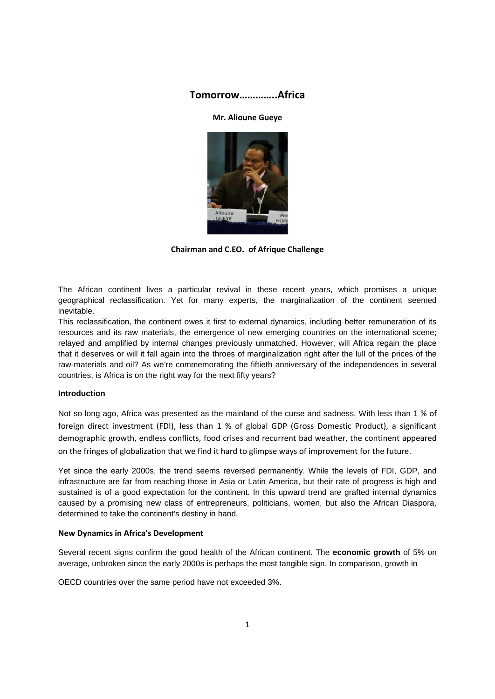# **Tomorrow…………..Africa**

## **Mr. Alioune Gueye**



**Chairman and C.EO. of Afrique Challenge**

The African continent lives a particular revival in these recent years, which promises a unique geographical reclassification. Yet for many experts, the marginalization of the continent seemed inevitable.

This reclassification, the continent owes it first to external dynamics, including better remuneration of its resources and its raw materials, the emergence of new emerging countries on the international scene; relayed and amplified by internal changes previously unmatched. However, will Africa regain the place that it deserves or will it fall again into the throes of marginalization right after the lull of the prices of the raw-materials and oil? As we're commemorating the fiftieth anniversary of the independences in several countries, is Africa is on the right way for the next fifty years?

## **Introduction**

Not so long ago, Africa was presented as the mainland of the curse and sadness. With less than 1 % of foreign direct investment (FDI), less than 1 % of global GDP (Gross Domestic Product), a significant demographic growth, endless conflicts, food crises and recurrent bad weather, the continent appeared on the fringes of globalization that we find it hard to glimpse ways of improvement for the future.

Yet since the early 2000s, the trend seems reversed permanently. While the levels of FDI, GDP, and infrastructure are far from reaching those in Asia or Latin America, but their rate of progress is high and sustained is of a good expectation for the continent. In this upward trend are grafted internal dynamics caused by a promising new class of entrepreneurs, politicians, women, but also the African Diaspora, determined to take the continent's destiny in hand.

#### **New Dynamics in Africa's Development**

Several recent signs confirm the good health of the African continent. The **economic growth** of 5% on average, unbroken since the early 2000s is perhaps the most tangible sign. In comparison, growth in

OECD countries over the same period have not exceeded 3%.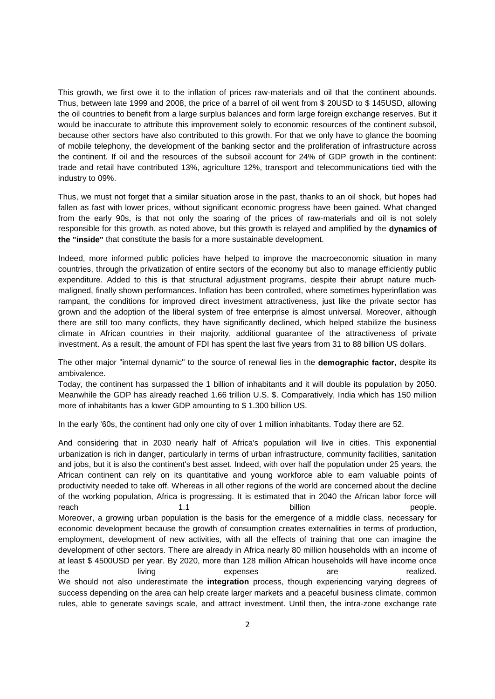This growth, we first owe it to the inflation of prices raw-materials and oil that the continent abounds. Thus, between late 1999 and 2008, the price of a barrel of oil went from \$ 20USD to \$ 145USD, allowing the oil countries to benefit from a large surplus balances and form large foreign exchange reserves. But it would be inaccurate to attribute this improvement solely to economic resources of the continent subsoil, because other sectors have also contributed to this growth. For that we only have to glance the booming of mobile telephony, the development of the banking sector and the proliferation of infrastructure across the continent. If oil and the resources of the subsoil account for 24% of GDP growth in the continent: trade and retail have contributed 13%, agriculture 12%, transport and telecommunications tied with the industry to 09%.

Thus, we must not forget that a similar situation arose in the past, thanks to an oil shock, but hopes had fallen as fast with lower prices, without significant economic progress have been gained. What changed from the early 90s, is that not only the soaring of the prices of raw-materials and oil is not solely responsible for this growth, as noted above, but this growth is relayed and amplified by the **dynamics of the "inside"** that constitute the basis for a more sustainable development.

Indeed, more informed public policies have helped to improve the macroeconomic situation in many countries, through the privatization of entire sectors of the economy but also to manage efficiently public expenditure. Added to this is that structural adjustment programs, despite their abrupt nature muchmaligned, finally shown performances. Inflation has been controlled, where sometimes hyperinflation was rampant, the conditions for improved direct investment attractiveness, just like the private sector has grown and the adoption of the liberal system of free enterprise is almost universal. Moreover, although there are still too many conflicts, they have significantly declined, which helped stabilize the business climate in African countries in their majority, additional guarantee of the attractiveness of private investment. As a result, the amount of FDI has spent the last five years from 31 to 88 billion US dollars.

The other major "internal dynamic" to the source of renewal lies in the **demographic factor**, despite its ambivalence.

Today, the continent has surpassed the 1 billion of inhabitants and it will double its population by 2050. Meanwhile the GDP has already reached 1.66 trillion U.S. \$. Comparatively, India which has 150 million more of inhabitants has a lower GDP amounting to \$ 1.300 billion US.

In the early '60s, the continent had only one city of over 1 million inhabitants. Today there are 52.

And considering that in 2030 nearly half of Africa's population will live in cities. This exponential urbanization is rich in danger, particularly in terms of urban infrastructure, community facilities, sanitation and jobs, but it is also the continent's best asset. Indeed, with over half the population under 25 years, the African continent can rely on its quantitative and young workforce able to earn valuable points of productivity needed to take off. Whereas in all other regions of the world are concerned about the decline of the working population, Africa is progressing. It is estimated that in 2040 the African labor force will reach 1.1 billion people. Moreover, a growing urban population is the basis for the emergence of a middle class, necessary for economic development because the growth of consumption creates externalities in terms of production, employment, development of new activities, with all the effects of training that one can imagine the development of other sectors. There are already in Africa nearly 80 million households with an income of at least \$ 4500USD per year. By 2020, more than 128 million African households will have income once the living expenses are realized. We should not also underestimate the **integration** process, though experiencing varying degrees of success depending on the area can help create larger markets and a peaceful business climate, common rules, able to generate savings scale, and attract investment. Until then, the intra-zone exchange rate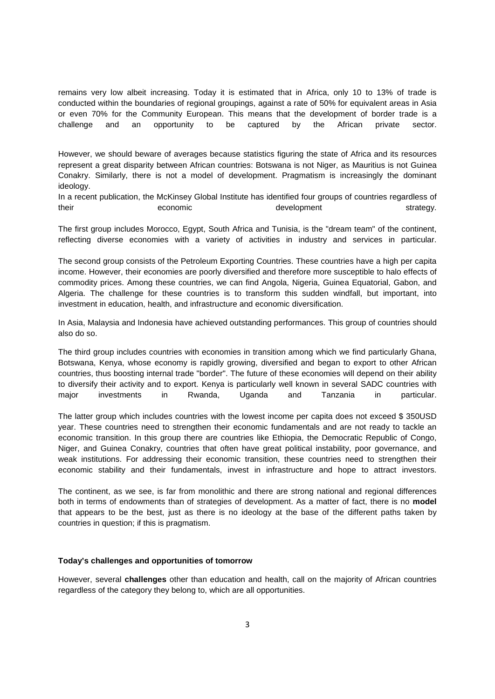remains very low albeit increasing. Today it is estimated that in Africa, only 10 to 13% of trade is conducted within the boundaries of regional groupings, against a rate of 50% for equivalent areas in Asia or even 70% for the Community European. This means that the development of border trade is a challenge and an opportunity to be captured by the African private sector.

However, we should beware of averages because statistics figuring the state of Africa and its resources represent a great disparity between African countries: Botswana is not Niger, as Mauritius is not Guinea Conakry. Similarly, there is not a model of development. Pragmatism is increasingly the dominant ideology.

In a recent publication, the McKinsey Global Institute has identified four groups of countries regardless of their economic economic development strategy.

The first group includes Morocco, Egypt, South Africa and Tunisia, is the "dream team" of the continent, reflecting diverse economies with a variety of activities in industry and services in particular.

The second group consists of the Petroleum Exporting Countries. These countries have a high per capita income. However, their economies are poorly diversified and therefore more susceptible to halo effects of commodity prices. Among these countries, we can find Angola, Nigeria, Guinea Equatorial, Gabon, and Algeria. The challenge for these countries is to transform this sudden windfall, but important, into investment in education, health, and infrastructure and economic diversification.

In Asia, Malaysia and Indonesia have achieved outstanding performances. This group of countries should also do so.

The third group includes countries with economies in transition among which we find particularly Ghana, Botswana, Kenya, whose economy is rapidly growing, diversified and began to export to other African countries, thus boosting internal trade "border". The future of these economies will depend on their ability to diversify their activity and to export. Kenya is particularly well known in several SADC countries with major investments in Rwanda, Uganda and Tanzania in particular.

The latter group which includes countries with the lowest income per capita does not exceed \$ 350USD year. These countries need to strengthen their economic fundamentals and are not ready to tackle an economic transition. In this group there are countries like Ethiopia, the Democratic Republic of Congo, Niger, and Guinea Conakry, countries that often have great political instability, poor governance, and weak institutions. For addressing their economic transition, these countries need to strengthen their economic stability and their fundamentals, invest in infrastructure and hope to attract investors.

The continent, as we see, is far from monolithic and there are strong national and regional differences both in terms of endowments than of strategies of development. As a matter of fact, there is no **model** that appears to be the best, just as there is no ideology at the base of the different paths taken by countries in question; if this is pragmatism.

## **Today's challenges and opportunities of tomorrow**

However, several **challenges** other than education and health, call on the majority of African countries regardless of the category they belong to, which are all opportunities.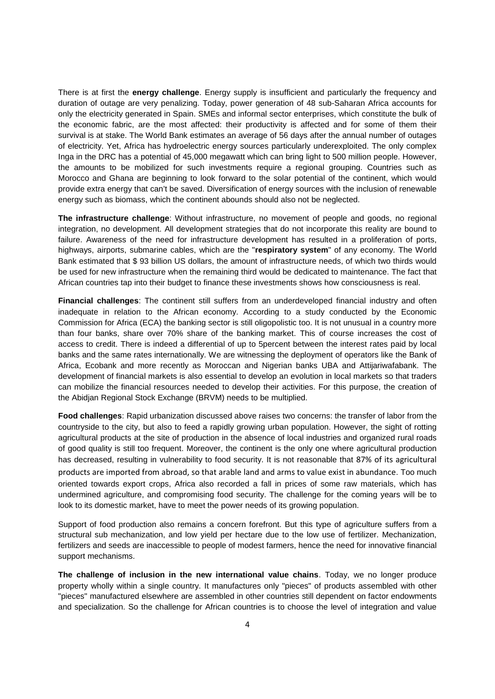There is at first the **energy challenge**. Energy supply is insufficient and particularly the frequency and duration of outage are very penalizing. Today, power generation of 48 sub-Saharan Africa accounts for only the electricity generated in Spain. SMEs and informal sector enterprises, which constitute the bulk of the economic fabric, are the most affected: their productivity is affected and for some of them their survival is at stake. The World Bank estimates an average of 56 days after the annual number of outages of electricity. Yet, Africa has hydroelectric energy sources particularly underexploited. The only complex Inga in the DRC has a potential of 45,000 megawatt which can bring light to 500 million people. However, the amounts to be mobilized for such investments require a regional grouping. Countries such as Morocco and Ghana are beginning to look forward to the solar potential of the continent, which would provide extra energy that can't be saved. Diversification of energy sources with the inclusion of renewable energy such as biomass, which the continent abounds should also not be neglected.

**The infrastructure challenge**: Without infrastructure, no movement of people and goods, no regional integration, no development. All development strategies that do not incorporate this reality are bound to failure. Awareness of the need for infrastructure development has resulted in a proliferation of ports, highways, airports, submarine cables, which are the "**respiratory system**" of any economy. The World Bank estimated that \$ 93 billion US dollars, the amount of infrastructure needs, of which two thirds would be used for new infrastructure when the remaining third would be dedicated to maintenance. The fact that African countries tap into their budget to finance these investments shows how consciousness is real.

**Financial challenges**: The continent still suffers from an underdeveloped financial industry and often inadequate in relation to the African economy. According to a study conducted by the Economic Commission for Africa (ECA) the banking sector is still oligopolistic too. It is not unusual in a country more than four banks, share over 70% share of the banking market. This of course increases the cost of access to credit. There is indeed a differential of up to 5percent between the interest rates paid by local banks and the same rates internationally. We are witnessing the deployment of operators like the Bank of Africa, Ecobank and more recently as Moroccan and Nigerian banks UBA and Attijariwafabank. The development of financial markets is also essential to develop an evolution in local markets so that traders can mobilize the financial resources needed to develop their activities. For this purpose, the creation of the Abidjan Regional Stock Exchange (BRVM) needs to be multiplied.

**Food challenges**: Rapid urbanization discussed above raises two concerns: the transfer of labor from the countryside to the city, but also to feed a rapidly growing urban population. However, the sight of rotting agricultural products at the site of production in the absence of local industries and organized rural roads of good quality is still too frequent. Moreover, the continent is the only one where agricultural production has decreased, resulting in vulnerability to food security. It is not reasonable that 87% of its agricultural products are imported from abroad, so that arable land and arms to value exist in abundance. Too much oriented towards export crops, Africa also recorded a fall in prices of some raw materials, which has undermined agriculture, and compromising food security. The challenge for the coming years will be to look to its domestic market, have to meet the power needs of its growing population.

Support of food production also remains a concern forefront. But this type of agriculture suffers from a structural sub mechanization, and low yield per hectare due to the low use of fertilizer. Mechanization, fertilizers and seeds are inaccessible to people of modest farmers, hence the need for innovative financial support mechanisms.

**The challenge of inclusion in the new international value chains**. Today, we no longer produce property wholly within a single country. It manufactures only "pieces" of products assembled with other "pieces" manufactured elsewhere are assembled in other countries still dependent on factor endowments and specialization. So the challenge for African countries is to choose the level of integration and value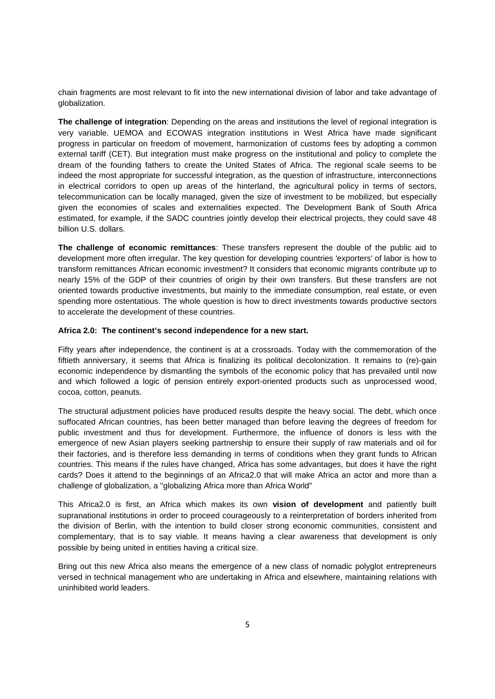chain fragments are most relevant to fit into the new international division of labor and take advantage of globalization.

**The challenge of integration**: Depending on the areas and institutions the level of regional integration is very variable. UEMOA and ECOWAS integration institutions in West Africa have made significant progress in particular on freedom of movement, harmonization of customs fees by adopting a common external tariff (CET). But integration must make progress on the institutional and policy to complete the dream of the founding fathers to create the United States of Africa. The regional scale seems to be indeed the most appropriate for successful integration, as the question of infrastructure, interconnections in electrical corridors to open up areas of the hinterland, the agricultural policy in terms of sectors, telecommunication can be locally managed, given the size of investment to be mobilized, but especially given the economies of scales and externalities expected. The Development Bank of South Africa estimated, for example, if the SADC countries jointly develop their electrical projects, they could save 48 billion U.S. dollars.

**The challenge of economic remittances**: These transfers represent the double of the public aid to development more often irregular. The key question for developing countries 'exporters' of labor is how to transform remittances African economic investment? It considers that economic migrants contribute up to nearly 15% of the GDP of their countries of origin by their own transfers. But these transfers are not oriented towards productive investments, but mainly to the immediate consumption, real estate, or even spending more ostentatious. The whole question is how to direct investments towards productive sectors to accelerate the development of these countries.

## **Africa 2.0: The continent's second independence for a new start.**

Fifty years after independence, the continent is at a crossroads. Today with the commemoration of the fiftieth anniversary, it seems that Africa is finalizing its political decolonization. It remains to (re)-gain economic independence by dismantling the symbols of the economic policy that has prevailed until now and which followed a logic of pension entirely export-oriented products such as unprocessed wood, cocoa, cotton, peanuts.

The structural adjustment policies have produced results despite the heavy social. The debt, which once suffocated African countries, has been better managed than before leaving the degrees of freedom for public investment and thus for development. Furthermore, the influence of donors is less with the emergence of new Asian players seeking partnership to ensure their supply of raw materials and oil for their factories, and is therefore less demanding in terms of conditions when they grant funds to African countries. This means if the rules have changed, Africa has some advantages, but does it have the right cards? Does it attend to the beginnings of an Africa2.0 that will make Africa an actor and more than a challenge of globalization, a "globalizing Africa more than Africa World"

This Africa2.0 is first, an Africa which makes its own **vision of development** and patiently built supranational institutions in order to proceed courageously to a reinterpretation of borders inherited from the division of Berlin, with the intention to build closer strong economic communities, consistent and complementary, that is to say viable. It means having a clear awareness that development is only possible by being united in entities having a critical size.

Bring out this new Africa also means the emergence of a new class of nomadic polyglot entrepreneurs versed in technical management who are undertaking in Africa and elsewhere, maintaining relations with uninhibited world leaders.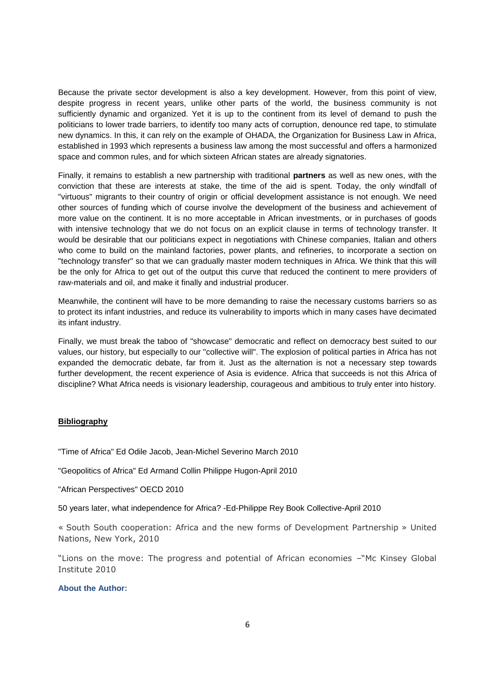Because the private sector development is also a key development. However, from this point of view, despite progress in recent years, unlike other parts of the world, the business community is not sufficiently dynamic and organized. Yet it is up to the continent from its level of demand to push the politicians to lower trade barriers, to identify too many acts of corruption, denounce red tape, to stimulate new dynamics. In this, it can rely on the example of OHADA, the Organization for Business Law in Africa, established in 1993 which represents a business law among the most successful and offers a harmonized space and common rules, and for which sixteen African states are already signatories.

Finally, it remains to establish a new partnership with traditional **partners** as well as new ones, with the conviction that these are interests at stake, the time of the aid is spent. Today, the only windfall of "virtuous" migrants to their country of origin or official development assistance is not enough. We need other sources of funding which of course involve the development of the business and achievement of more value on the continent. It is no more acceptable in African investments, or in purchases of goods with intensive technology that we do not focus on an explicit clause in terms of technology transfer. It would be desirable that our politicians expect in negotiations with Chinese companies, Italian and others who come to build on the mainland factories, power plants, and refineries, to incorporate a section on "technology transfer" so that we can gradually master modern techniques in Africa. We think that this will be the only for Africa to get out of the output this curve that reduced the continent to mere providers of raw-materials and oil, and make it finally and industrial producer.

Meanwhile, the continent will have to be more demanding to raise the necessary customs barriers so as to protect its infant industries, and reduce its vulnerability to imports which in many cases have decimated its infant industry.

Finally, we must break the taboo of "showcase" democratic and reflect on democracy best suited to our values, our history, but especially to our "collective will". The explosion of political parties in Africa has not expanded the democratic debate, far from it. Just as the alternation is not a necessary step towards further development, the recent experience of Asia is evidence. Africa that succeeds is not this Africa of discipline? What Africa needs is visionary leadership, courageous and ambitious to truly enter into history.

#### **Bibliography**

"Time of Africa" Ed Odile Jacob, Jean-Michel Severino March 2010

"Geopolitics of Africa" Ed Armand Collin Philippe Hugon-April 2010

"African Perspectives" OECD 2010

50 years later, what independence for Africa? -Ed-Philippe Rey Book Collective-April 2010

« South South cooperation: Africa and the new forms of Development Partnership » United Nations, New York, 2010

"Lions on the move: The progress and potential of African economies –"Mc Kinsey Global Institute 2010

# **About the Author:**